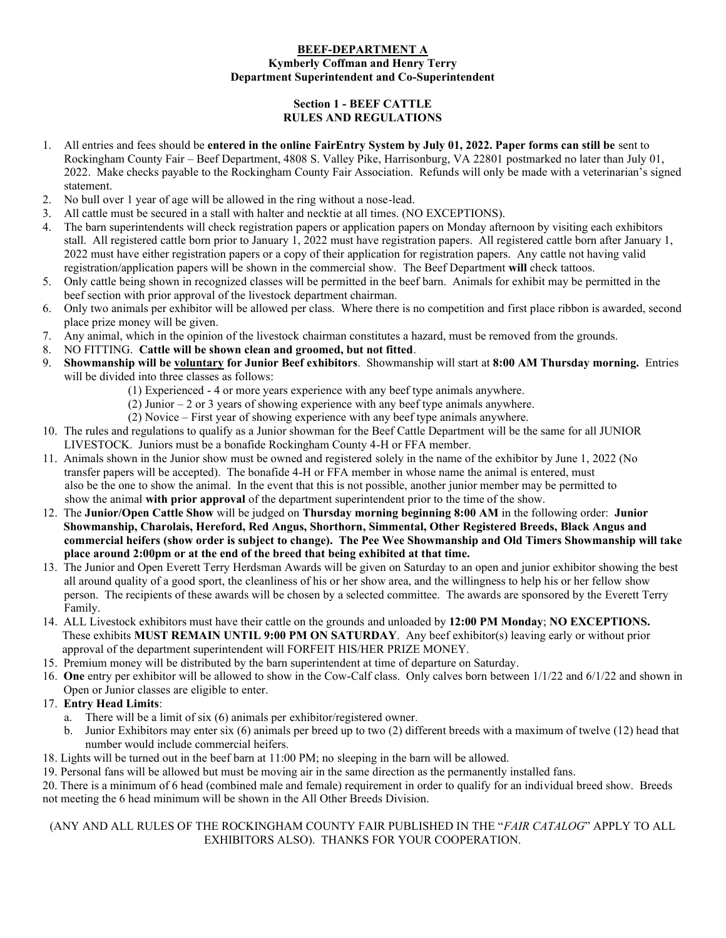#### **BEEF-DEPARTMENT A Kymberly Coffman and Henry Terry Department Superintendent and Co-Superintendent**

### **Section 1 - BEEF CATTLE RULES AND REGULATIONS**

- 1. All entries and fees should be **entered in the online FairEntry System by July 01, 2022. Paper forms can still be** sent to Rockingham County Fair – Beef Department, 4808 S. Valley Pike, Harrisonburg, VA 22801 postmarked no later than July 01, 2022. Make checks payable to the Rockingham County Fair Association. Refunds will only be made with a veterinarian's signed statement.
- 2. No bull over 1 year of age will be allowed in the ring without a nose-lead.
- 3. All cattle must be secured in a stall with halter and necktie at all times. (NO EXCEPTIONS).
- 4. The barn superintendents will check registration papers or application papers on Monday afternoon by visiting each exhibitors stall. All registered cattle born prior to January 1, 2022 must have registration papers. All registered cattle born after January 1, 2022 must have either registration papers or a copy of their application for registration papers. Any cattle not having valid registration/application papers will be shown in the commercial show. The Beef Department **will** check tattoos.
- 5. Only cattle being shown in recognized classes will be permitted in the beef barn. Animals for exhibit may be permitted in the beef section with prior approval of the livestock department chairman.
- 6. Only two animals per exhibitor will be allowed per class. Where there is no competition and first place ribbon is awarded, second place prize money will be given.
- 7. Any animal, which in the opinion of the livestock chairman constitutes a hazard, must be removed from the grounds.
- 8. NO FITTING. **Cattle will be shown clean and groomed, but not fitted**.
- 9. **Showmanship will be voluntary for Junior Beef exhibitors**. Showmanship will start at **8:00 AM Thursday morning.** Entries will be divided into three classes as follows:
	- (1) Experienced 4 or more years experience with any beef type animals anywhere.
	- (2) Junior  $-2$  or 3 years of showing experience with any beef type animals anywhere.
	- (2) Novice First year of showing experience with any beef type animals anywhere.
- 10. The rules and regulations to qualify as a Junior showman for the Beef Cattle Department will be the same for all JUNIOR LIVESTOCK. Juniors must be a bonafide Rockingham County 4-H or FFA member.
- 11. Animals shown in the Junior show must be owned and registered solely in the name of the exhibitor by June 1, 2022 (No transfer papers will be accepted). The bonafide 4-H or FFA member in whose name the animal is entered, must also be the one to show the animal. In the event that this is not possible, another junior member may be permitted to show the animal **with prior approval** of the department superintendent prior to the time of the show.
- 12. The **Junior/Open Cattle Show** will be judged on **Thursday morning beginning 8:00 AM** in the following order: **Junior Showmanship, Charolais, Hereford, Red Angus, Shorthorn, Simmental, Other Registered Breeds, Black Angus and commercial heifers (show order is subject to change). The Pee Wee Showmanship and Old Timers Showmanship will take place around 2:00pm or at the end of the breed that being exhibited at that time.**
- 13. The Junior and Open Everett Terry Herdsman Awards will be given on Saturday to an open and junior exhibitor showing the best all around quality of a good sport, the cleanliness of his or her show area, and the willingness to help his or her fellow show person. The recipients of these awards will be chosen by a selected committee. The awards are sponsored by the Everett Terry Family.
- 14. ALL Livestock exhibitors must have their cattle on the grounds and unloaded by **12:00 PM Monday**; **NO EXCEPTIONS.** These exhibits **MUST REMAIN UNTIL 9:00 PM ON SATURDAY**. Any beef exhibitor(s) leaving early or without prior approval of the department superintendent will FORFEIT HIS/HER PRIZE MONEY.
- 15. Premium money will be distributed by the barn superintendent at time of departure on Saturday.
- 16. **One** entry per exhibitor will be allowed to show in the Cow-Calf class. Only calves born between 1/1/22 and 6/1/22 and shown in Open or Junior classes are eligible to enter.
- 17. **Entry Head Limits**:
	- a. There will be a limit of six (6) animals per exhibitor/registered owner.
	- b. Junior Exhibitors may enter six (6) animals per breed up to two (2) different breeds with a maximum of twelve (12) head that number would include commercial heifers.
- 18. Lights will be turned out in the beef barn at 11:00 PM; no sleeping in the barn will be allowed.
- 19. Personal fans will be allowed but must be moving air in the same direction as the permanently installed fans.

20. There is a minimum of 6 head (combined male and female) requirement in order to qualify for an individual breed show. Breeds not meeting the 6 head minimum will be shown in the All Other Breeds Division.

#### (ANY AND ALL RULES OF THE ROCKINGHAM COUNTY FAIR PUBLISHED IN THE "*FAIR CATALOG*" APPLY TO ALL EXHIBITORS ALSO). THANKS FOR YOUR COOPERATION.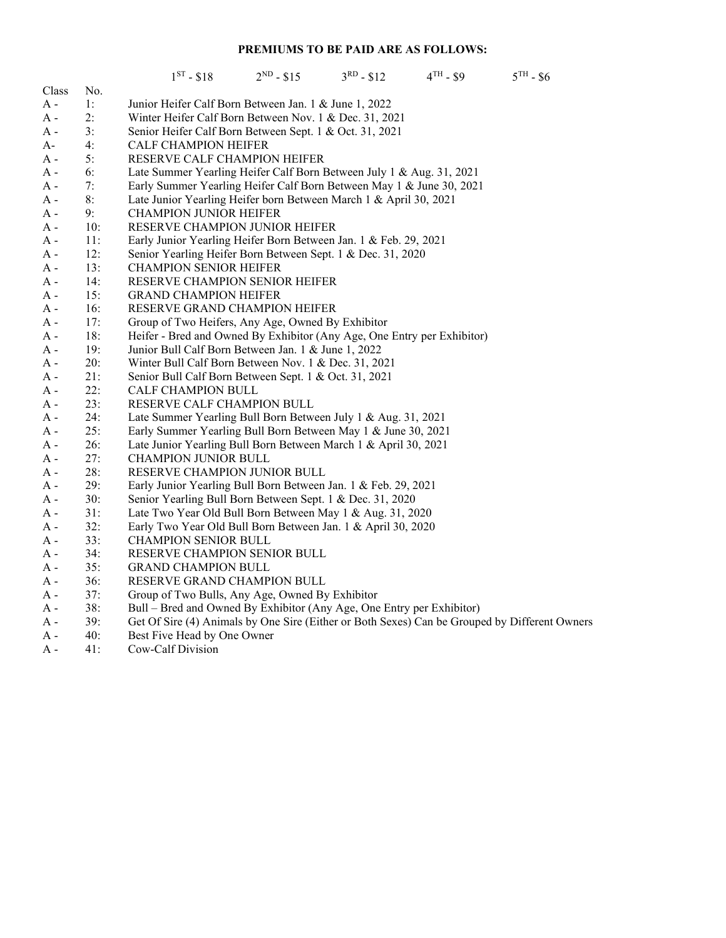## **PREMIUMS TO BE PAID ARE AS FOLLOWS:**

|       |     | $1^{ST} - $18$<br>$2^{ND} - $15$<br>$3^{RD} - $12$                                            |  | $4TH - $9$ | $5^{TH}$ - \$6 |
|-------|-----|-----------------------------------------------------------------------------------------------|--|------------|----------------|
| Class | No. |                                                                                               |  |            |                |
| A -   | 1:  | Junior Heifer Calf Born Between Jan. 1 & June 1, 2022                                         |  |            |                |
| A -   | 2:  | Winter Heifer Calf Born Between Nov. 1 & Dec. 31, 2021                                        |  |            |                |
| A -   | 3:  | Senior Heifer Calf Born Between Sept. 1 & Oct. 31, 2021                                       |  |            |                |
| A-    | 4:  | <b>CALF CHAMPION HEIFER</b>                                                                   |  |            |                |
| A -   | 5:  | RESERVE CALF CHAMPION HEIFER                                                                  |  |            |                |
| A -   | 6:  | Late Summer Yearling Heifer Calf Born Between July 1 & Aug. 31, 2021                          |  |            |                |
| А -   | 7:  | Early Summer Yearling Heifer Calf Born Between May 1 & June 30, 2021                          |  |            |                |
| A -   | 8:  | Late Junior Yearling Heifer born Between March 1 & April 30, 2021                             |  |            |                |
| A -   | 9:  | <b>CHAMPION JUNIOR HEIFER</b>                                                                 |  |            |                |
| A -   | 10: | RESERVE CHAMPION JUNIOR HEIFER                                                                |  |            |                |
| A -   | 11: | Early Junior Yearling Heifer Born Between Jan. 1 & Feb. 29, 2021                              |  |            |                |
| A -   | 12: | Senior Yearling Heifer Born Between Sept. 1 & Dec. 31, 2020                                   |  |            |                |
| A -   | 13: | <b>CHAMPION SENIOR HEIFER</b>                                                                 |  |            |                |
| A -   | 14: | RESERVE CHAMPION SENIOR HEIFER                                                                |  |            |                |
| A -   | 15: | <b>GRAND CHAMPION HEIFER</b>                                                                  |  |            |                |
| A -   | 16: | RESERVE GRAND CHAMPION HEIFER                                                                 |  |            |                |
| A -   | 17: | Group of Two Heifers, Any Age, Owned By Exhibitor                                             |  |            |                |
| A -   | 18: | Heifer - Bred and Owned By Exhibitor (Any Age, One Entry per Exhibitor)                       |  |            |                |
| A -   | 19: | Junior Bull Calf Born Between Jan. 1 & June 1, 2022                                           |  |            |                |
| A -   | 20: | Winter Bull Calf Born Between Nov. 1 & Dec. 31, 2021                                          |  |            |                |
| A -   | 21: | Senior Bull Calf Born Between Sept. 1 & Oct. 31, 2021                                         |  |            |                |
| A -   | 22: | <b>CALF CHAMPION BULL</b>                                                                     |  |            |                |
| A -   | 23: | RESERVE CALF CHAMPION BULL                                                                    |  |            |                |
| A -   | 24: | Late Summer Yearling Bull Born Between July 1 & Aug. 31, 2021                                 |  |            |                |
| A -   | 25: | Early Summer Yearling Bull Born Between May 1 & June 30, 2021                                 |  |            |                |
| A -   | 26: | Late Junior Yearling Bull Born Between March 1 & April 30, 2021                               |  |            |                |
| A -   | 27: | <b>CHAMPION JUNIOR BULL</b>                                                                   |  |            |                |
| A -   | 28: | RESERVE CHAMPION JUNIOR BULL                                                                  |  |            |                |
| A -   | 29: | Early Junior Yearling Bull Born Between Jan. 1 & Feb. 29, 2021                                |  |            |                |
| A -   | 30: | Senior Yearling Bull Born Between Sept. 1 & Dec. 31, 2020                                     |  |            |                |
| A -   | 31: | Late Two Year Old Bull Born Between May 1 & Aug. 31, 2020                                     |  |            |                |
| A -   | 32: | Early Two Year Old Bull Born Between Jan. 1 & April 30, 2020                                  |  |            |                |
| A -   | 33: | <b>CHAMPION SENIOR BULL</b>                                                                   |  |            |                |
| A -   | 34: | RESERVE CHAMPION SENIOR BULL                                                                  |  |            |                |
| A -   | 35: | <b>GRAND CHAMPION BULL</b>                                                                    |  |            |                |
| A -   | 36: | RESERVE GRAND CHAMPION BULL                                                                   |  |            |                |
| A -   | 37: | Group of Two Bulls, Any Age, Owned By Exhibitor                                               |  |            |                |
| A -   | 38: | Bull - Bred and Owned By Exhibitor (Any Age, One Entry per Exhibitor)                         |  |            |                |
| A -   | 39: | Get Of Sire (4) Animals by One Sire (Either or Both Sexes) Can be Grouped by Different Owners |  |            |                |
| A -   | 40: | Best Five Head by One Owner                                                                   |  |            |                |
| A -   | 41: | Cow-Calf Division                                                                             |  |            |                |